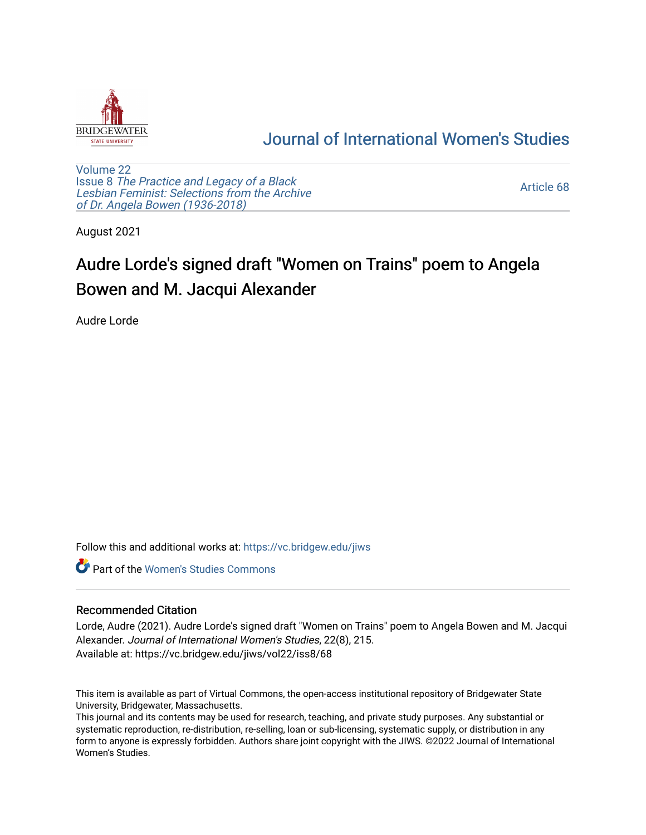

## [Journal of International Women's Studies](https://vc.bridgew.edu/jiws)

[Volume 22](https://vc.bridgew.edu/jiws/vol22) Issue 8 [The Practice and Legacy of a Black](https://vc.bridgew.edu/jiws/vol22/iss8)  [Lesbian Feminist: Selections from the Archive](https://vc.bridgew.edu/jiws/vol22/iss8)  [of Dr. Angela Bowen \(1936-2018\)](https://vc.bridgew.edu/jiws/vol22/iss8)

[Article 68](https://vc.bridgew.edu/jiws/vol22/iss8/68) 

August 2021

## Audre Lorde's signed draft "Women on Trains" poem to Angela Bowen and M. Jacqui Alexander

Audre Lorde

Follow this and additional works at: [https://vc.bridgew.edu/jiws](https://vc.bridgew.edu/jiws?utm_source=vc.bridgew.edu%2Fjiws%2Fvol22%2Fiss8%2F68&utm_medium=PDF&utm_campaign=PDFCoverPages)

**C** Part of the Women's Studies Commons

## Recommended Citation

Lorde, Audre (2021). Audre Lorde's signed draft "Women on Trains" poem to Angela Bowen and M. Jacqui Alexander. Journal of International Women's Studies, 22(8), 215. Available at: https://vc.bridgew.edu/jiws/vol22/iss8/68

This item is available as part of Virtual Commons, the open-access institutional repository of Bridgewater State University, Bridgewater, Massachusetts.

This journal and its contents may be used for research, teaching, and private study purposes. Any substantial or systematic reproduction, re-distribution, re-selling, loan or sub-licensing, systematic supply, or distribution in any form to anyone is expressly forbidden. Authors share joint copyright with the JIWS. ©2022 Journal of International Women's Studies.